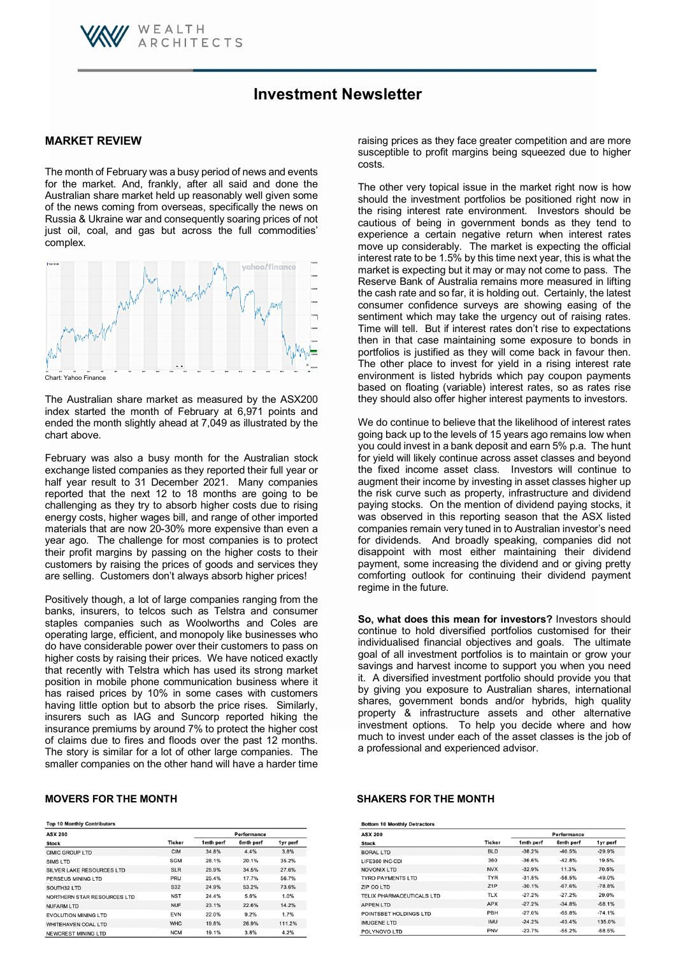

# **MARKET REVIEW**

The month of February was a busy period of news and events for the market. And, frankly, after all said and done the Australian share market held up reasonably well given some of the news coming from overseas, specifically the news on Russia & Ukraine war and consequently soaring prices of not just oil, coal, and gas but across the full commodities' complex.

WEALTH

**ARCHITECTS** 



The Australian share market as measured by the ASX200 index started the month of February at 6,971 points and ended the month slightly ahead at 7,049 as illustrated by the chart above.

February was also a busy month for the Australian stock exchange listed companies as they reported their full year or half year result to 31 December 2021. Many companies reported that the next 12 to 18 months are going to be challenging as they try to absorb higher costs due to rising energy costs, higher wages bill, and range of other imported materials that are now 20-30% more expensive than even a year ago. The challenge for most companies is to protect their profit margins by passing on the higher costs to their customers by raising the prices of goods and services they are selling. Customers don't always absorb higher prices!

Positively though, a lot of large companies ranging from the banks, insurers, to telcos such as Telstra and consumer staples companies such as Woolworths and Coles are operating large, efficient, and monopoly like businesses who do have considerable power over their customers to pass on higher costs by raising their prices. We have noticed exactly that recently with Telstra which has used its strong market position in mobile phone communication business where it has raised prices by 10% in some cases with customers having little option but to absorb the price rises. Similarly, insurers such as IAG and Suncorp reported hiking the insurance premiums by around 7% to protect the higher cost of claims due to fires and floods over the past 12 months. The story is similar for a lot of other large companies. The smaller companies on the other hand will have a harder time

| <b>Top 10 Monthly Contributors</b> |               |             |           |          |  |
|------------------------------------|---------------|-------------|-----------|----------|--|
| <b>ASX 200</b>                     |               | Performance |           |          |  |
| <b>Stock</b>                       | <b>Ticker</b> | 1mth perf   | 6mth perf | 1yr perf |  |
| <b>CIMIC GROUP LTD</b>             | <b>CIM</b>    | 34.8%       | 4.4%      | 3.8%     |  |
| SIMS LTD                           | <b>SGM</b>    | 28.1%       | 20.1%     | 35.2%    |  |
| SILVER LAKE RESOURCES LTD          | <b>SLR</b>    | 25.9%       | 34.5%     | 27.6%    |  |
| PERSEUS MINING LTD                 | PRU           | 25.4%       | 17.7%     | 56.7%    |  |
| SOUTH32 LTD                        | S32           | 24.9%       | 53.2%     | 73.6%    |  |
| NORTHERN STAR RESOURCES LTD        | <b>NST</b>    | 24.4%       | 5.6%      | 1.0%     |  |
| <b>NUFARM LTD</b>                  | <b>NUF</b>    | 23.1%       | 22.6%     | 14.2%    |  |
| <b>EVOLUTION MINING LTD</b>        | <b>EVN</b>    | 22.0%       | 9.2%      | 1.7%     |  |
| <b>WHITEHAVEN COAL LTD</b>         | <b>WHC</b>    | 19.8%       | 26.9%     | 111.2%   |  |
| NEWCREST MINING LTD                | <b>NCM</b>    | 19.1%       | 3.8%      | 4.2%     |  |

raising prices as they face greater competition and are more susceptible to profit margins being squeezed due to higher costs.

The other very topical issue in the market right now is how should the investment portfolios be positioned right now in the rising interest rate environment. Investors should be cautious of being in government bonds as they tend to experience a certain negative return when interest rates move up considerably. The market is expecting the official interest rate to be 1.5% by this time next year, this is what the market is expecting but it may or may not come to pass. The Reserve Bank of Australia remains more measured in lifting the cash rate and so far, it is holding out. Certainly, the latest consumer confidence surveys are showing easing of the sentiment which may take the urgency out of raising rates. Time will tell. But if interest rates don't rise to expectations then in that case maintaining some exposure to bonds in portfolios is justified as they will come back in favour then. The other place to invest for yield in a rising interest rate environment is listed hybrids which pay coupon payments based on floating (variable) interest rates, so as rates rise they should also offer higher interest payments to investors.

We do continue to believe that the likelihood of interest rates going back up to the levels of 15 years ago remains low when you could invest in a bank deposit and earn 5% p.a. The hunt for yield will likely continue across asset classes and beyond the fixed income asset class. Investors will continue to augment their income by investing in asset classes higher up the risk curve such as property, infrastructure and dividend paying stocks. On the mention of dividend paying stocks, it was observed in this reporting season that the ASX listed companies remain very tuned in to Australian investor's need for dividends. And broadly speaking, companies did not disappoint with most either maintaining their dividend payment, some increasing the dividend and or giving pretty comforting outlook for continuing their dividend payment regime in the future.

**So, what does this mean for investors?** Investors should continue to hold diversified portfolios customised for their individualised financial objectives and goals. The ultimate goal of all investment portfolios is to maintain or grow your savings and harvest income to support you when you need it. A diversified investment portfolio should provide you that by giving you exposure to Australian shares, international shares, government bonds and/or hybrids, high quality property & infrastructure assets and other alternative investment options. To help you decide where and how much to invest under each of the asset classes is the job of a professional and experienced advisor.

### **MOVERS FOR THE MONTH SHAKERS FOR THE MONTH**

| <b>Bottom 10 Monthly Detractors</b> |                  |             |           |          |  |
|-------------------------------------|------------------|-------------|-----------|----------|--|
| <b>ASX 200</b>                      |                  | Performance |           |          |  |
| <b>Stock</b>                        | Ticker           | 1mth perf   | 6mth perf | 1yr perf |  |
| <b>BORAL LTD</b>                    | <b>BLD</b>       | $-38.2%$    | $-40.5%$  | $-29.9%$ |  |
| LIFE360 INC-CDI                     | 360              | $-36.6%$    | $-42.8%$  | 19.5%    |  |
| <b>NOVONIX LTD</b>                  | <b>NVX</b>       | $-32.9%$    | 11.3%     | 70.5%    |  |
| <b>TYRO PAYMENTS LTD</b>            | <b>TYR</b>       | $-31.5%$    | $-58.5%$  | -49.0%   |  |
| ZIP CO LTD                          | Z <sub>1</sub> P | $-30.1%$    | $-67.6%$  | $-78.8%$ |  |
| TELIX PHARMACEUTICALS LTD           | <b>TLX</b>       | $-27.2%$    | $-27.2%$  | 29.0%    |  |
| <b>APPEN LTD</b>                    | <b>APX</b>       | $-27.2%$    | $-34.8%$  | $-58.1%$ |  |
| POINTSBET HOLDINGS LTD              | PBH              | $-27.0%$    | $-65.8%$  | $-74.1%$ |  |
| IMUGENE LTD                         | <b>IMU</b>       | $-24.2%$    | $-43.4%$  | 135.0%   |  |
| POLYNOVO LTD                        | <b>PNV</b>       | $-23.7%$    | $-55.2%$  | $-58.5%$ |  |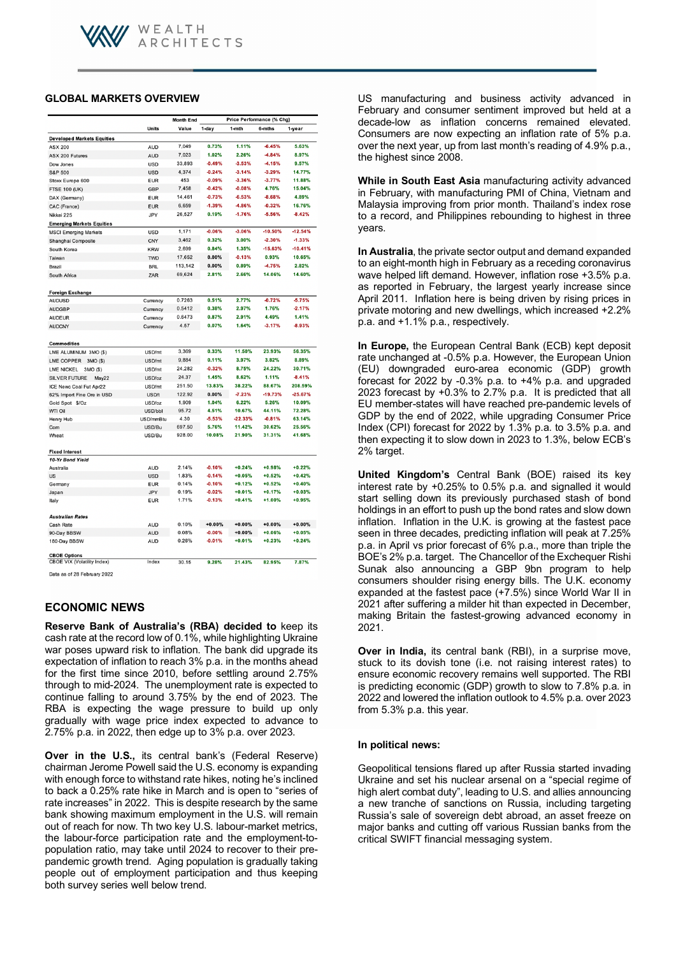# **GLOBAL MARKETS OVERVIEW**

|                                    |              | <b>Month End</b> | Price Performance (% Chg) |           |           |           |
|------------------------------------|--------------|------------------|---------------------------|-----------|-----------|-----------|
|                                    | <b>Units</b> | Value            | 1-day                     | $1 - mth$ | 6-mths    | 1-year    |
| <b>Developed Markets Equities</b>  |              |                  |                           |           |           |           |
| <b>ASX 200</b>                     | <b>AUD</b>   | 7,049            | 0.73%                     | 1.11%     | $-6.45%$  | 5.63%     |
| <b>ASX 200 Futures</b>             | <b>AUD</b>   | 7,023            | 1.02%                     | 2.26%     | $-4.84%$  | 8.97%     |
| Dow Jones                          | <b>USD</b>   | 33,893           | $-0.49%$                  | $-3.53%$  | $-4.15%$  | 9.57%     |
| <b>S&amp;P 500</b>                 | <b>USD</b>   | 4,374            | $-0.24%$                  | $-3.14%$  | $-3.29%$  | 14.77%    |
| Stoxx Europe 600                   | <b>EUR</b>   | 453              | $-0.09%$                  | $-3.36%$  | $-3.77%$  | 11.88%    |
| <b>FTSE 100 (UK)</b>               | <b>GBP</b>   | 7,458            | $-0.42%$                  | $-0.08%$  | 4.76%     | 15.04%    |
| DAX (Germany)                      | <b>EUR</b>   | 14,461           | $-0.73%$                  | $-6.53%$  | $-8.68%$  | 4.89%     |
| CAC (France)                       | <b>EUR</b>   | 6,659            | $-1.39%$                  | -4.86%    | $-0.32%$  | 16.76%    |
| Nikkei 225                         | JPY          | 26,527           | 0.19%                     | $-1.76%$  | $-5.56%$  | $-8.42%$  |
| <b>Emerging Markets Equities</b>   |              |                  |                           |           |           |           |
| <b>MSCI Emerging Markets</b>       | <b>USD</b>   | 1,171            | $-0.06%$                  | $-3.06%$  | $-10.50%$ | $-12.54%$ |
| Shanghai Composite                 | CNY          | 3,462            | 0.32%                     | 3.00%     | $-2.30%$  | $-1.33%$  |
| South Korea                        | <b>KRW</b>   | 2,699            | 0.84%                     | 1.35%     | $-15.63%$ | $-10.41%$ |
|                                    | <b>TWD</b>   | 17,652           | 0.00%                     | $-0.13%$  | 0.93%     | 10.65%    |
| Taiwan                             |              | 113,142          | 0.00%                     | 0.89%     | $-4.75%$  | 2.82%     |
| Brazil                             | <b>BRL</b>   | 69.624           | 2.81%                     | 2.66%     | 14.06%    | 14.60%    |
| South Africa                       | ZAR          |                  |                           |           |           |           |
|                                    |              |                  |                           |           |           |           |
| <b>Foreign Exchange</b>            |              |                  |                           |           |           |           |
| <b>AUDUSD</b>                      | Currency     | 0.7263           | 0.51%                     | 2.77%     | $-0.72%$  | $-5.75%$  |
| <b>AUDGBP</b>                      | Currency     | 0.5412           | 0.38%                     | 2.97%     | 1.76%     | $-2.17%$  |
| <b>AUDEUR</b>                      | Currency     | 0.6473           | 0.87%                     | 2.91%     | 4.49%     | 1.41%     |
| <b>AUDCNY</b>                      | Currency     | 4.57             | 0.07%                     | 1.64%     | $-3.17%$  | $-8.93%$  |
|                                    |              |                  |                           |           |           |           |
| <b>Commodities</b>                 |              |                  |                           |           |           |           |
| LME ALUMINUM 3MO (\$)              | USD/mt       | 3,369            | 0.33%                     | 11.50%    | 23.93%    | 56.35%    |
| LME COPPER 3MO (\$)                | USD/mt       | 9,884            | 0.11%                     | 3.97%     | 3.82%     | 8.89%     |
| <b>LME NICKEL</b><br>3MO (\$)      | USD/mt       | 24,282           | $-0.32%$                  | 8.75%     | 24.22%    | 30.71%    |
| <b>SILVER FUTURE</b><br>May22      | USD/oz       | 24.37            | 1.45%                     | 8.62%     | 1.11%     | $-8.41%$  |
| ICE Newc Coal Fut Apr22            | USD/mt       | 251.50           | 13.83%                    | 38.22%    | 88.67%    | 208.59%   |
| 62% Import Fine Ore in USD         | USD/t        | 122.92           | 0.00%                     | $-7.23%$  | $-19.73%$ | $-25.67%$ |
| Gold Spot \$/Oz                    | USD/oz       | 1.909            | 1.04%                     | 6.22%     | 5.26%     | 10.09%    |
| <b>WTI Oil</b>                     | USD/bbl      | 95.72            | 4.51%                     | 10.67%    | 44.11%    | 72.28%    |
| Henry Hub                          | USD/mmBtu    | 4.30             | $-5.53%$                  | $-22.33%$ | $-0.81%$  | 63.14%    |
| Com                                | USD/Bu       | 697.50           | 5.76%                     | 11.42%    | 30.62%    | 25.56%    |
| Wheat                              | USD/Bu       | 928.00           | 10.08%                    | 21.90%    | 31.31%    | 41.68%    |
|                                    |              |                  |                           |           |           |           |
| <b>Fixed Interest</b>              |              |                  |                           |           |           |           |
| 10-Yr Bond Yield                   |              |                  |                           |           |           |           |
| Australia                          | <b>AUD</b>   | 2.14%            | $-0.10%$                  | $+0.24%$  | $+0.98%$  | $+0.22%$  |
| <b>US</b>                          | <b>USD</b>   | 1.83%            | $-0.14%$                  | $+0.05%$  | $+0.52%$  | $+0.42%$  |
| Germany                            | <b>EUR</b>   | 0.14%            | $-0.10%$                  | $+0.12%$  | $+0.52%$  | $+0.40%$  |
| Japan                              | JPY          | 0.19%            | $-0.02%$                  | $+0.01%$  | $+0.17%$  | $+0.03%$  |
| Italy                              | <b>EUR</b>   | 1.71%            | $-0.13%$                  | $+0.41%$  | $+1.00%$  | $+0.95%$  |
|                                    |              |                  |                           |           |           |           |
| <b>Australian Rates</b>            |              |                  |                           |           |           |           |
| Cash Rate                          | <b>AUD</b>   | 0.10%            | $+0.00%$                  | $+0.00%$  | $+0.00%$  | $+0.00%$  |
| 90-Day BBSW                        | <b>AUD</b>   | 0.08%            | $-0.00%$                  | $+0.00%$  | $+0.06%$  | $+0.05%$  |
| 180-Day BBSW                       | <b>AUD</b>   | 0.26%            | $-0.01%$                  | $+0.01%$  | $+0.23%$  | $+0.24%$  |
| <b>CBOE Options</b>                |              |                  |                           |           |           |           |
| <b>CBOE VIX (Volatility Index)</b> | Index        | 30.15            | 9.28%                     | 21.43%    | 82.95%    | 7.87%     |
| ato as of 28 February 2022         |              |                  |                           |           |           |           |

ta as of 28 February 2022

# **ECONOMIC NEWS**

**Reserve Bank of Australia's (RBA) decided to** keep its cash rate at the record low of 0.1%, while highlighting Ukraine war poses upward risk to inflation. The bank did upgrade its expectation of inflation to reach 3% p.a. in the months ahead for the first time since 2010, before settling around 2.75% through to mid-2024. The unemployment rate is expected to continue falling to around 3.75% by the end of 2023. The RBA is expecting the wage pressure to build up only gradually with wage price index expected to advance to 2.75% p.a. in 2022, then edge up to 3% p.a. over 2023.

**Over in the U.S., its central bank's (Federal Reserve)** chairman Jerome Powell said the U.S. economy is expanding with enough force to withstand rate hikes, noting he's inclined to back a 0.25% rate hike in March and is open to "series of rate increases" in 2022. This is despite research by the same bank showing maximum employment in the U.S. will remain out of reach for now. Th two key U.S. labour-market metrics, the labour-force participation rate and the employment-topopulation ratio, may take until 2024 to recover to their prepandemic growth trend. Aging population is gradually taking people out of employment participation and thus keeping both survey series well below trend.

US manufacturing and business activity advanced in February and consumer sentiment improved but held at a decade-low as inflation concerns remained elevated. Consumers are now expecting an inflation rate of 5% p.a. over the next year, up from last month's reading of 4.9% p.a., the highest since 2008.

**While in South East Asia** manufacturing activity advanced in February, with manufacturing PMI of China, Vietnam and Malaysia improving from prior month. Thailand's index rose to a record, and Philippines rebounding to highest in three years.

**In Australia**, the private sector output and demand expanded to an eight-month high in February as a receding coronavirus wave helped lift demand. However, inflation rose +3.5% p.a. as reported in February, the largest yearly increase since April 2011. Inflation here is being driven by rising prices in private motoring and new dwellings, which increased +2.2% p.a. and +1.1% p.a., respectively.

**In Europe,** the European Central Bank (ECB) kept deposit rate unchanged at -0.5% p.a. However, the European Union (EU) downgraded euro-area economic (GDP) growth forecast for 2022 by -0.3% p.a. to +4% p.a. and upgraded 2023 forecast by +0.3% to 2.7% p.a. It is predicted that all EU member-states will have reached pre-pandemic levels of GDP by the end of 2022, while upgrading Consumer Price Index (CPI) forecast for 2022 by 1.3% p.a. to 3.5% p.a. and then expecting it to slow down in 2023 to 1.3%, below ECB's 2% target.

**United Kingdom's** Central Bank (BOE) raised its key interest rate by +0.25% to 0.5% p.a. and signalled it would start selling down its previously purchased stash of bond holdings in an effort to push up the bond rates and slow down inflation. Inflation in the U.K. is growing at the fastest pace seen in three decades, predicting inflation will peak at 7.25% p.a. in April vs prior forecast of 6% p.a., more than triple the BOE's 2% p.a. target. The Chancellor of the Exchequer Rishi Sunak also announcing a GBP 9bn program to help consumers shoulder rising energy bills. The U.K. economy expanded at the fastest pace (+7.5%) since World War II in 2021 after suffering a milder hit than expected in December, making Britain the fastest-growing advanced economy in 2021.

**Over in India,** its central bank (RBI), in a surprise move, stuck to its dovish tone (i.e. not raising interest rates) to ensure economic recovery remains well supported. The RBI is predicting economic (GDP) growth to slow to 7.8% p.a. in 2022 and lowered the inflation outlook to 4.5% p.a. over 2023 from 5.3% p.a. this year.

## **In political news:**

Geopolitical tensions flared up after Russia started invading Ukraine and set his nuclear arsenal on a "special regime of high alert combat duty", leading to U.S. and allies announcing a new tranche of sanctions on Russia, including targeting Russia's sale of sovereign debt abroad, an asset freeze on major banks and cutting off various Russian banks from the critical SWIFT financial messaging system.